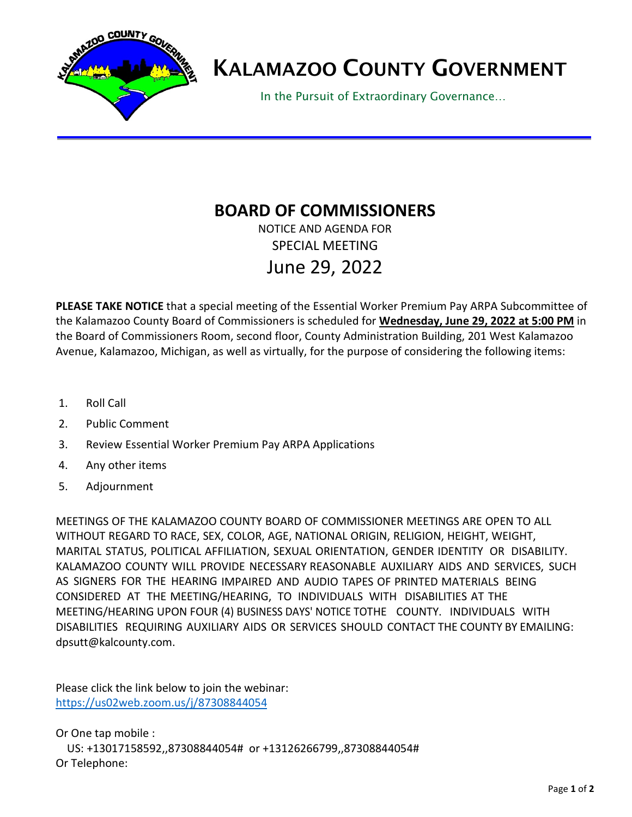

## KALAMAZOO COUNTY GOVERNMENT

In the Pursuit of Extraordinary Governance…

## **BOARD OF COMMISSIONERS**

NOTICE AND AGENDA FOR SPECIAL MEETING June 29, 2022

**PLEASE TAKE NOTICE** that a special meeting of the Essential Worker Premium Pay ARPA Subcommittee of the Kalamazoo County Board of Commissioners is scheduled for **Wednesday, June 29, 2022 at 5:00 PM** in the Board of Commissioners Room, second floor, County Administration Building, 201 West Kalamazoo Avenue, Kalamazoo, Michigan, as well as virtually, for the purpose of considering the following items:

- 1. Roll Call
- 2. Public Comment
- 3. Review Essential Worker Premium Pay ARPA Applications
- 4. Any other items
- 5. Adjournment

MEETINGS OF THE KALAMAZOO COUNTY BOARD OF COMMISSIONER MEETINGS ARE OPEN TO ALL WITHOUT REGARD TO RACE, SEX, COLOR, AGE, NATIONAL ORIGIN, RELIGION, HEIGHT, WEIGHT, MARITAL STATUS, POLITICAL AFFILIATION, SEXUAL ORIENTATION, GENDER IDENTITY OR DISABILITY. KALAMAZOO COUNTY WILL PROVIDE NECESSARY REASONABLE AUXILIARY AIDS AND SERVICES, SUCH AS SIGNERS FOR THE HEARING IMPAIRED AND AUDIO TAPES OF PRINTED MATERIALS BEING CONSIDERED AT THE MEETING/HEARING, TO INDIVIDUALS WITH DISABILITIES AT THE MEETING/HEARING UPON FOUR (4) BUSINESS DAYS' NOTICE TOTHE COUNTY. INDIVIDUALS WITH DISABILITIES REQUIRING AUXILIARY AIDS OR SERVICES SHOULD CONTACT THE COUNTY BY EMAILING: [dpsutt@kalcounty.c](mailto:dpsutt@kalcounty.com)om.

Please click the link below to join the webinar: <https://us02web.zoom.us/j/87308844054>

Or One tap mobile : US: +13017158592,,87308844054# or +13126266799,,87308844054# Or Telephone: